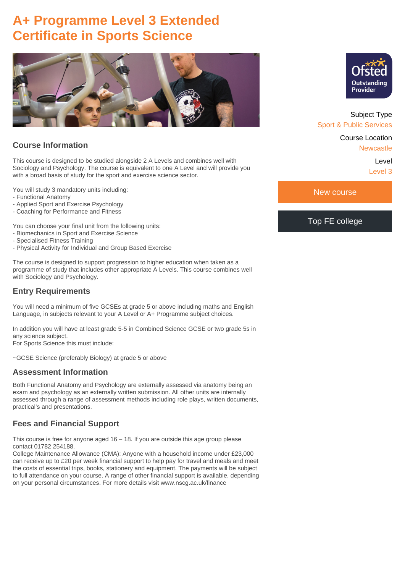# **A+ Programme Level 3 Extended Certificate in Sports Science**



## **Course Information**

This course is designed to be studied alongside 2 A Levels and combines well with Sociology and Psychology. The course is equivalent to one A Level and will provide you with a broad basis of study for the sport and exercise science sector.

You will study 3 mandatory units including:

- Functional Anatomy
- Applied Sport and Exercise Psychology
- Coaching for Performance and Fitness

You can choose your final unit from the following units:

- Biomechanics in Sport and Exercise Science
- Specialised Fitness Training
- Physical Activity for Individual and Group Based Exercise

The course is designed to support progression to higher education when taken as a programme of study that includes other appropriate A Levels. This course combines well with Sociology and Psychology.

#### **Entry Requirements**

You will need a minimum of five GCSEs at grade 5 or above including maths and English Language, in subjects relevant to your A Level or A+ Programme subject choices.

In addition you will have at least grade 5-5 in Combined Science GCSE or two grade 5s in any science subject.

For Sports Science this must include:

~GCSE Science (preferably Biology) at grade 5 or above

#### **Assessment Information**

Both Functional Anatomy and Psychology are externally assessed via anatomy being an exam and psychology as an externally written submission. All other units are internally assessed through a range of assessment methods including role plays, written documents, practical's and presentations.

#### **Fees and Financial Support**

This course is free for anyone aged  $16 - 18$ . If you are outside this age group please contact 01782 254188.

College Maintenance Allowance (CMA): Anyone with a household income under £23,000 can receive up to £20 per week financial support to help pay for travel and meals and meet the costs of essential trips, books, stationery and equipment. The payments will be subject to full attendance on your course. A range of other financial support is available, depending on your personal circumstances. For more details visit www.nscg.ac.uk/finance



Subject Type Sport & Public Services

Course Location

Newcastle

Level Level 3

New course

#### Top FE college